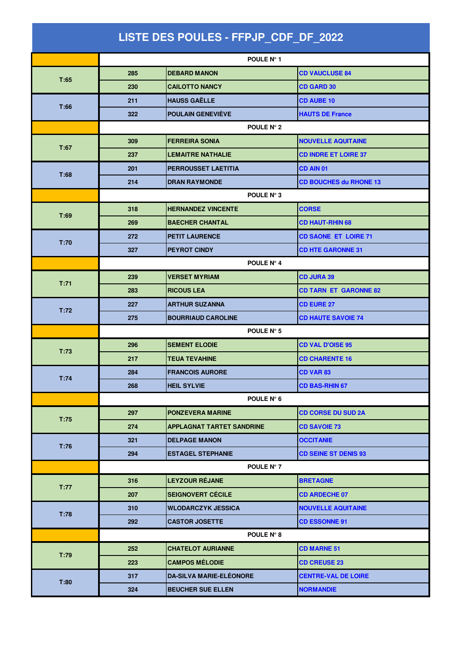| LISTE DES POULES - FFPJP_CDF_DF_2022 |            |                                  |                               |  |  |
|--------------------------------------|------------|----------------------------------|-------------------------------|--|--|
|                                      |            | POULE N° 1                       |                               |  |  |
| T:65                                 | 285        | <b>DEBARD MANON</b>              | <b>CD VAUCLUSE 84</b>         |  |  |
|                                      | 230        | <b>CAILOTTO NANCY</b>            | <b>CD GARD 30</b>             |  |  |
| T:66                                 | 211        | <b>HAUSS GAËLLE</b>              | <b>CD AUBE 10</b>             |  |  |
|                                      | 322        | <b>POULAIN GENEVIÈVE</b>         | <b>HAUTS DE France</b>        |  |  |
|                                      | POULE N° 2 |                                  |                               |  |  |
| T:67                                 | 309        | <b>FERREIRA SONIA</b>            | <b>NOUVELLE AQUITAINE</b>     |  |  |
|                                      | 237        | <b>LEMAITRE NATHALIE</b>         | <b>CD INDRE ET LOIRE 37</b>   |  |  |
| T:68                                 | 201        | PERROUSSET LAETITIA              | CD AIN 01                     |  |  |
|                                      | 214        | <b>DRAN RAYMONDE</b>             | <b>CD BOUCHES du RHONE 13</b> |  |  |
|                                      | POULE N° 3 |                                  |                               |  |  |
| T:69                                 | 318        | <b>HERNANDEZ VINCENTE</b>        | <b>CORSE</b>                  |  |  |
|                                      | 269        | <b>BAECHER CHANTAL</b>           | <b>CD HAUT-RHIN 68</b>        |  |  |
| T:70                                 | 272        | <b>PETIT LAURENCE</b>            | <b>CD SAONE ET LOIRE 71</b>   |  |  |
|                                      | 327        | <b>PEYROT CINDY</b>              | <b>CD HTE GARONNE 31</b>      |  |  |
|                                      |            | POULE N° 4                       |                               |  |  |
| T:71                                 | 239        | <b>VERSET MYRIAM</b>             | <b>CD JURA 39</b>             |  |  |
|                                      | 283        | <b>RICOUS LEA</b>                | <b>CD TARN ET GARONNE 82</b>  |  |  |
| T:72                                 | 227        | <b>ARTHUR SUZANNA</b>            | <b>CD EURE 27</b>             |  |  |
|                                      | 275        | <b>BOURRIAUD CAROLINE</b>        | <b>CD HAUTE SAVOIE 74</b>     |  |  |
|                                      | POULE N° 5 |                                  |                               |  |  |
| T:73                                 | 296        | <b>SEMENT ELODIE</b>             | <b>CD VAL D'OISE 95</b>       |  |  |
|                                      | 217        | <b>TEUA TEVAHINE</b>             | <b>CD CHARENTE 16</b>         |  |  |
| T:74                                 | 284        | <b>FRANCOIS AURORE</b>           | <b>CD VAR 83</b>              |  |  |
|                                      | 268        | <b>HEIL SYLVIE</b>               | <b>CD BAS-RHIN 67</b>         |  |  |
|                                      |            | POULE N° 6                       |                               |  |  |
| T:75                                 | 297        | <b>PONZEVERA MARINE</b>          | <b>CD CORSE DU SUD 2A</b>     |  |  |
|                                      | 274        | <b>APPLAGNAT TARTET SANDRINE</b> | <b>CD SAVOIE 73</b>           |  |  |
| T:76                                 | 321        | <b>DELPAGE MANON</b>             | <b>OCCITANIE</b>              |  |  |
|                                      | 294        | <b>ESTAGEL STEPHANIE</b>         | <b>CD SEINE ST DENIS 93</b>   |  |  |
|                                      |            | POULE N° 7                       |                               |  |  |
| T:77                                 | 316        | <b>LEYZOUR RÉJANE</b>            | <b>BRETAGNE</b>               |  |  |
|                                      | 207        | <b>SEIGNOVERT CÉCILE</b>         | <b>CD ARDECHE 07</b>          |  |  |
|                                      | 310        | <b>WLODARCZYK JESSICA</b>        | <b>NOUVELLE AQUITAINE</b>     |  |  |
| T:78                                 | 292        | <b>CASTOR JOSETTE</b>            | <b>CD ESSONNE 91</b>          |  |  |
|                                      |            | POULE N° 8                       |                               |  |  |
| T:79                                 | 252        | <b>CHATELOT AURIANNE</b>         | <b>CD MARNE 51</b>            |  |  |
|                                      | 223        | <b>CAMPOS MÉLODIE</b>            | <b>CD CREUSE 23</b>           |  |  |
| T:80                                 | 317        | <b>DA-SILVA MARIE-ELEONORE</b>   | <b>CENTRE-VAL DE LOIRE</b>    |  |  |
|                                      | 324        | <b>BEUCHER SUE ELLEN</b>         | <b>NORMANDIE</b>              |  |  |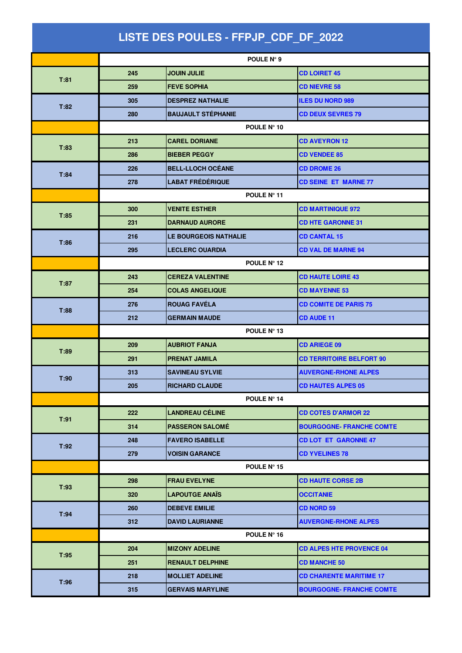| LISTE DES POULES - FFPJP CDF DF 2022 |             |                           |                                 |  |
|--------------------------------------|-------------|---------------------------|---------------------------------|--|
|                                      |             | POULE N° 9                |                                 |  |
|                                      | 245         | <b>JOUIN JULIE</b>        | <b>CD LOIRET 45</b>             |  |
| T:81                                 | 259         | <b>FEVE SOPHIA</b>        | <b>CD NIEVRE 58</b>             |  |
|                                      | 305         | <b>DESPREZ NATHALIE</b>   | <b>ILES DU NORD 989</b>         |  |
| T:82                                 | 280         | <b>BAUJAULT STÉPHANIE</b> | <b>CD DEUX SEVRES 79</b>        |  |
|                                      | POULE N° 10 |                           |                                 |  |
| T:83                                 | 213         | <b>CAREL DORIANE</b>      | <b>CD AVEYRON 12</b>            |  |
|                                      | 286         | <b>BIEBER PEGGY</b>       | <b>CD VENDEE 85</b>             |  |
| T:84                                 | 226         | <b>BELL-LLOCH OCÉANE</b>  | <b>CD DROME 26</b>              |  |
|                                      | 278         | <b>LABAT FRÉDÉRIQUE</b>   | <b>CD SEINE ET MARNE 77</b>     |  |
|                                      | POULE N° 11 |                           |                                 |  |
| T:85                                 | 300         | <b>VENITE ESTHER</b>      | <b>CD MARTINIQUE 972</b>        |  |
|                                      | 231         | <b>DARNAUD AURORE</b>     | <b>CD HTE GARONNE 31</b>        |  |
| T:86                                 | 216         | LE BOURGEOIS NATHALIE     | <b>CD CANTAL 15</b>             |  |
|                                      | 295         | <b>LECLERC OUARDIA</b>    | <b>CD VAL DE MARNE 94</b>       |  |
|                                      | POULE N° 12 |                           |                                 |  |
| T:87                                 | 243         | <b>CEREZA VALENTINE</b>   | <b>CD HAUTE LOIRE 43</b>        |  |
|                                      | 254         | <b>COLAS ANGELIQUE</b>    | <b>CD MAYENNE 53</b>            |  |
| T:88                                 | 276         | <b>ROUAG FAVÉLA</b>       | <b>CD COMITE DE PARIS 75</b>    |  |
|                                      | 212         | <b>GERMAIN MAUDE</b>      | <b>CD AUDE 11</b>               |  |
|                                      | POULE N° 13 |                           |                                 |  |
| T:89                                 | 209         | <b>AUBRIOT FANJA</b>      | <b>CD ARIEGE 09</b>             |  |
|                                      | 291         | <b>PRENAT JAMILA</b>      | <b>CD TERRITOIRE BELFORT 90</b> |  |
| T:90                                 | 313         | <b>SAVINEAU SYLVIE</b>    | <b>AUVERGNE-RHONE ALPES</b>     |  |
|                                      | 205         | <b>RICHARD CLAUDE</b>     | <b>CD HAUTES ALPES 05</b>       |  |
|                                      |             | POULE N° 14               |                                 |  |
| T:91                                 | 222         | <b>LANDREAU CÉLINE</b>    | <b>CD COTES D'ARMOR 22</b>      |  |
|                                      | 314         | <b>PASSERON SALOMÉ</b>    | <b>BOURGOGNE- FRANCHE COMTE</b> |  |
| T:92                                 | 248         | <b>FAVERO ISABELLE</b>    | <b>CD LOT ET GARONNE 47</b>     |  |
|                                      | 279         | <b>VOISIN GARANCE</b>     | <b>CD YVELINES 78</b>           |  |
|                                      |             | POULE $N^{\circ}$ 15      |                                 |  |
| T:93                                 | 298         | <b>FRAU EVELYNE</b>       | <b>CD HAUTE CORSE 2B</b>        |  |
|                                      | 320         | <b>LAPOUTGE ANAIS</b>     | <b>OCCITANIE</b>                |  |
| T:94                                 | 260         | <b>DEBEVE EMILIE</b>      | <b>CD NORD 59</b>               |  |
|                                      | 312         | <b>DAVID LAURIANNE</b>    | <b>AUVERGNE-RHONE ALPES</b>     |  |
|                                      |             | POULE N° 16               |                                 |  |
| T:95                                 | 204         | <b>MIZONY ADELINE</b>     | <b>CD ALPES HTE PROVENCE 04</b> |  |
|                                      | 251         | <b>RENAULT DELPHINE</b>   | <b>CD MANCHE 50</b>             |  |
| T:96                                 | 218         | <b>MOLLIET ADELINE</b>    | <b>CD CHARENTE MARITIME 17</b>  |  |
|                                      | 315         | <b>GERVAIS MARYLINE</b>   | <b>BOURGOGNE- FRANCHE COMTE</b> |  |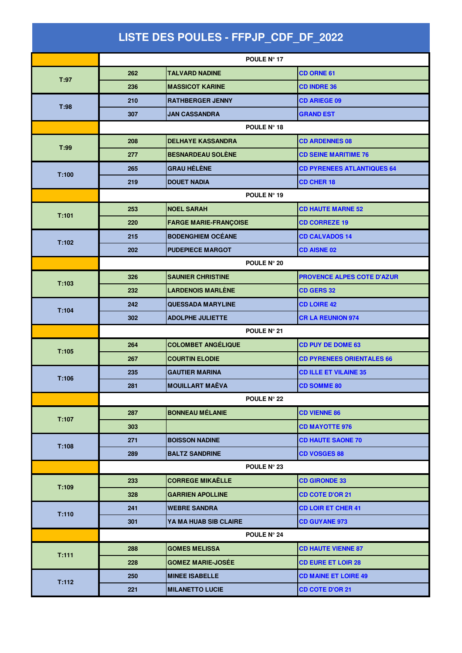| LISTE DES POULES - FFPJP_CDF_DF_2022 |             |                              |                                   |  |  |
|--------------------------------------|-------------|------------------------------|-----------------------------------|--|--|
|                                      |             | POULE Nº 17                  |                                   |  |  |
| T:97                                 | 262         | <b>TALVARD NADINE</b>        | <b>CD ORNE 61</b>                 |  |  |
|                                      | 236         | <b>MASSICOT KARINE</b>       | <b>CD INDRE 36</b>                |  |  |
|                                      | 210         | <b>RATHBERGER JENNY</b>      | <b>CD ARIEGE 09</b>               |  |  |
| T:98                                 | 307         | <b>JAN CASSANDRA</b>         | <b>GRAND EST</b>                  |  |  |
|                                      | POULE N° 18 |                              |                                   |  |  |
| T:99                                 | 208         | <b>DELHAYE KASSANDRA</b>     | <b>CD ARDENNES 08</b>             |  |  |
|                                      | 277         | <b>BESNARDEAU SOLÈNE</b>     | <b>CD SEINE MARITIME 76</b>       |  |  |
| T:100                                | 265         | <b>GRAU HÉLÈNE</b>           | <b>CD PYRENEES ATLANTIQUES 64</b> |  |  |
|                                      | 219         | <b>DOUET NADIA</b>           | <b>CD CHER 18</b>                 |  |  |
|                                      |             | POULE N° 19                  |                                   |  |  |
| T:101                                | 253         | <b>NOEL SARAH</b>            | <b>CD HAUTE MARNE 52</b>          |  |  |
|                                      | 220         | <b>FARGE MARIE-FRANÇOISE</b> | <b>CD CORREZE 19</b>              |  |  |
| T:102                                | 215         | <b>BODENGHIEM OCÉANE</b>     | <b>CD CALVADOS 14</b>             |  |  |
|                                      | 202         | <b>PUDEPIECE MARGOT</b>      | <b>CD AISNE 02</b>                |  |  |
|                                      | POULE N° 20 |                              |                                   |  |  |
| T:103                                | 326         | <b>SAUNIER CHRISTINE</b>     | PROVENCE ALPES COTE D'AZUR        |  |  |
|                                      | 232         | <b>LARDENOIS MARLÈNE</b>     | <b>CD GERS 32</b>                 |  |  |
| T:104                                | 242         | <b>QUESSADA MARYLINE</b>     | <b>CD LOIRE 42</b>                |  |  |
|                                      | 302         | <b>ADOLPHE JULIETTE</b>      | <b>CR LA REUNION 974</b>          |  |  |
|                                      | POULE Nº 21 |                              |                                   |  |  |
| T:105                                | 264         | <b>COLOMBET ANGÉLIQUE</b>    | <b>CD PUY DE DOME 63</b>          |  |  |
|                                      | 267         | <b>COURTIN ELODIE</b>        | <b>CD PYRENEES ORIENTALES 66</b>  |  |  |
| T:106                                | 235         | <b>GAUTIER MARINA</b>        | <b>CD ILLE ET VILAINE 35</b>      |  |  |
|                                      | 281         | <b>MOUILLART MAËVA</b>       | <b>CD SOMME 80</b>                |  |  |
|                                      |             | <b>POULE N° 22</b>           |                                   |  |  |
| T:107                                | 287         | <b>BONNEAU MÉLANIE</b>       | <b>CD VIENNE 86</b>               |  |  |
|                                      | 303         |                              | <b>CD MAYOTTE 976</b>             |  |  |
| T:108                                | 271         | <b>BOISSON NADINE</b>        | <b>CD HAUTE SAONE 70</b>          |  |  |
|                                      | 289         | <b>BALTZ SANDRINE</b>        | <b>CD VOSGES 88</b>               |  |  |
|                                      |             | POULE N° 23                  |                                   |  |  |
| T:109                                | 233         | <b>CORREGE MIKAËLLE</b>      | <b>CD GIRONDE 33</b>              |  |  |
|                                      | 328         | <b>GARRIEN APOLLINE</b>      | <b>CD COTE D'OR 21</b>            |  |  |
| T:110                                | 241         | <b>WEBRE SANDRA</b>          | <b>CD LOIR ET CHER 41</b>         |  |  |
|                                      | 301         | <b>YA MA HUAB SIB CLAIRE</b> | <b>CD GUYANE 973</b>              |  |  |
|                                      |             | <b>POULE N° 24</b>           |                                   |  |  |
| T:111                                | 288         | <b>GOMES MELISSA</b>         | <b>CD HAUTE VIENNE 87</b>         |  |  |
|                                      | 228         | <b>GOMEZ MARIE-JOSÉE</b>     | <b>CD EURE ET LOIR 28</b>         |  |  |
| T:112                                | 250         | <b>MINEE ISABELLE</b>        | <b>CD MAINE ET LOIRE 49</b>       |  |  |
|                                      | 221         | <b>MILANETTO LUCIE</b>       | <b>CD COTE D'OR 21</b>            |  |  |